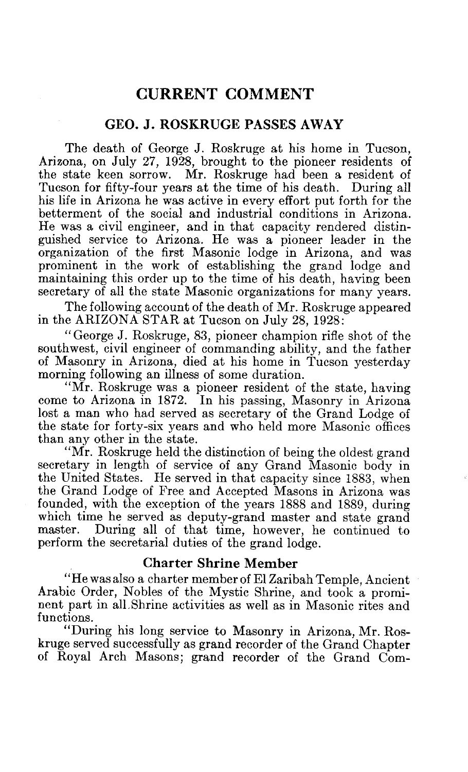# CURRENT COMMENT

# GEO. J. ROSKRUGE PASSES AWAY

The death of George J. Roskruge at his home in Tucson, Arizona, on July 27, 1928, brought to the pioneer residents of the state keen sorrow. Mr. Roskruge had been a resident of Tucson for fifty-four years at the time of his death. During all his life in Arizona he was active in every effort put forth for the betterment of the social and industrial conditions in Arizona. He was a civil engineer, and in that capacity rendered distinguished service to Arizona. He was a pioneer leader in the organization of the first Masonic lodge in Arizona, and was prominent in the work of establishing the grand lodge and maintaining this order up to the time of his death, having been secretary of all the state Masonic organizations for many years.

The following account of the death of Mr. Roskruge appeared in the ARIZONA STAR at Tucson on July 28, 1928:

"George J. Roskruge, 83, pioneer champion rifle shot of the southwest, civil engineer of commanding ability, and the father of Masonry in Arizona, died at his home in Tucson yesterday morning following an illness of some duration.

"Mr. Roskruge was a pioneer resident of the state, having come to Arizona in 1872. In his passing, Masonry in Arizona lost a man who had served as secretary of the Grand Lodge of the state for forty-six years and who held more Masonic offices than any other in the state.

"Mr. Roskruge held the distinction of being the oldest grand secretary in length of service of any Grand Masonic body in the United States. He served in that capacity since 1883, when the Grand Lodge of Free and Accepted Masons in Arizona was founded, with the exception of the years 1888 and 1889, during which time he served as deputy-grand master and state grand master. During all of that time, however, he continued to During all of that time, however, he continued to perform the secretarial duties of the grand lodge.

### Charter Shrine Member

"He was also a charter member of El Zaribah Temple, Ancient Arabic Order, Nobles of the Mystic Shrine, and took a prominent part in all.Shrine activities as well as in Masonic rites and functions.

"During his long service to Masonry in Arizona, Mr. Roskruge served successfully as grand recorder of the Grand Chapter of Royal Arch Masons; grand recorder of the Grand Com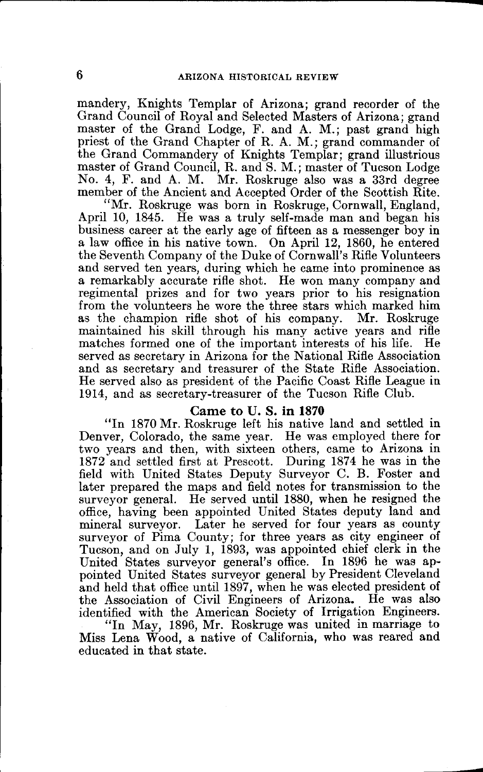mandery, Knights Templar of Arizona; grand recorder of the Grand Council of Royal and Selected Masters of Arizona; grand master of the Grand Lodge, F. and A. M.; past grand high priest of the Grand Chapter of R. A. M.; grand commander of the Grand Commandery of Knights Templar; grand illustrious master of Grand Council, R. and S. M.; master of Tucson Lodge No. 4, F. and A. M. Mr. Roskruge also was a 33rd degree member of the Ancient and Accepted Order of the Scottish Rite.

"Mr. Roskruge was born in Roskruge, Cornwall, England, April 10, 1845. He was a truly self-made man and began his business career at the early age of fifteen as a messenger boy in a law office in his native town. On April 12, 1860, he entered the Seventh Company of the Duke of Cornwall's Rifle Volunteers and served ten years, during which he came into prominence as a remarkably accurate rifle shot. He won many company and regimental prizes and for two years prior to his resignation from the volunteers he wore the three stars which marked him as the champion rifle shot of his company. Mr. Roskruge maintained his skill through his many active years and rifle matches formed one of the important interests of his life. He matches formed one of the important interests of his life. served as secretary in Arizona for the National Rifle Association and as secretary and treasurer of the State Rifle Association. He served also as president of the Pacific Coast Rifle League in 1914, and as secretary-treasurer of the Tucson Rifle Club.

#### **Came to U. S. in 1870**

"In 1870 Mr. Roskruge left his native land and settled in Denver, Colorado, the same year. He was employed there for two years and then, with sixteen others, came to Arizona in 1872 and settled first at Prescott. During 1874 he was in the field with United States Deputy Surveyor C. **B.** Foster and later prepared the maps and field notes for transmission to the surveyor general. He served until 1880, when he resigned the office, having been appointed United States deputy land and mineral surveyor. Later he served for four years as county surveyor of Pima County; for three years as city engineer of Tucson, and on July 1, 1893, was appointed chief clerk in the United States surveyor general's office. In 1896 he was appointed United States surveyor general by President Cleveland and held that office until 1897, when he was elected president of the Association of Civil Engineers of Arizona. He was also identified with the American Society of Irrigation Engineers. "In May, 1896, Mr. Roskruge was united in marriage to

Miss Lena Wood, a native of California, who was reared and educated in that state.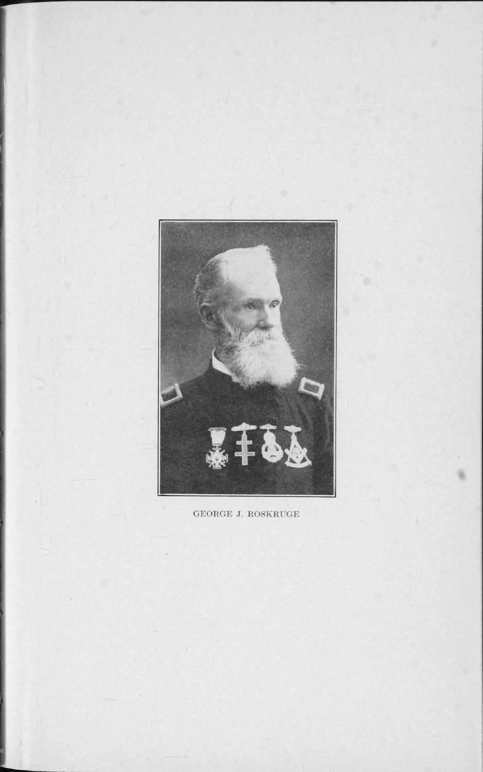

GEORGE J. ROSKRUGE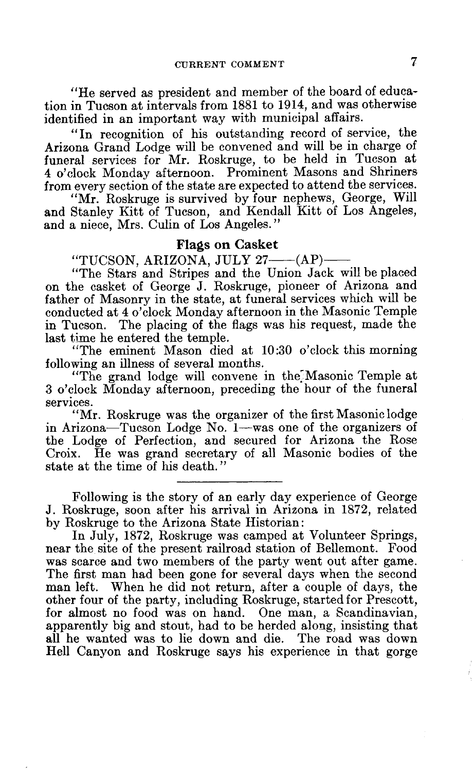"He served as president and member of the board of education in Tucson at intervals from 1881 to 1914, and was otherwise identified in an important way with municipal affairs.

"In recognition of his outstanding record of service, the Arizona Grand Lodge will be convened and will be in charge of funeral services for Mr. Roskruge, to be held in Tucson at 4 o'clock Monday afternoon. Prominent Masons and Shriners from every section of the state are expected to attend the services.

"Mr. Roskruge is survived by four nephews, George, Will and Stanley Kitt of Tucson, and Kendall Kitt of Los Angeles, and a niece, Mrs. Culin of Los Angeles."

## Flags on Casket

"TUCSON, ARIZONA, JULY 27- $-(AP)$ 

"The Stars and Stripes and the Union Jack will be placed on the casket of George J. Roskruge, pioneer of Arizona and father of Masonry in the state, at funeral services which will be conducted at 4 o'clock Monday afternoon in the Masonic Temple in Tucson. The placing of the flags was his request, made the last time he entered the temple.

"The eminent Mason died at 10:30 o'clock this morning following an illness of several months.

"The grand lodge will convene in the Masonic Temple at 3 o'clock Monday afternoon, preceding the hour of the funeral services.

"Mr. Roskruge was the organizer of the first Masonic lodge in Arizona—Tucson Lodge No. 1—was one of the organizers of the Lodge of Perfection, and secured for Arizona the Rose Croix. He was grand secretary of all Masonic bodies of the state at the time of his death."

Following is the story of an early day experience of George J. Roskruge, soon after his arrival in Arizona in 1872, related by Roskruge to the Arizona State Historian:

In July, 1872, Roskruge was camped at Volunteer Springs, near the site of the present railroad station of Bellemont. Food was scarce and two members of the party went out after game. The first man had been gone for several days when the second man left. When he did not return, after a couple of days, the other four of the party, including Roskruge, started for Prescott, for almost no food was on hand. One man, a Scandinavian, apparently big and stout, had to be herded along, insisting that all he wanted was to lie down and die. The road was down Hell Canyon and Roskruge says his experience in that gorge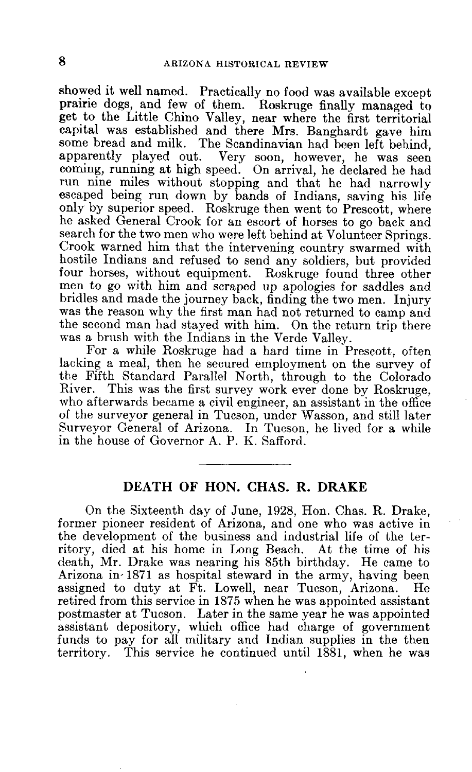showed it well named. Practically no food was available except prairie dogs, and few of them. Roskruge finally managed to get to the Little Chino Valley, near where the first territorial capital was established and there Mrs. Banghardt gave him some bread and milk. The Scandinavian had been left behind, apparently played out. Very soon, however, he was seen Very soon, however, he was seen coming, running at high speed. On arrival, he declared he had run nine miles without stopping and that he had narrowly escaped being run down by bands of Indians, saving his life only by superior speed. Roskruge then went to Prescott, where he asked General Crook for an escort of horses to go back and search for the two men who were left behind at Volunteer Springs. Crook warned him that the intervening country swarmed with hostile Indians and refused to send any soldiers, but provided four horses, without equipment. Roskruge found three other men to go with him and scraped up apologies for saddles and bridles and made the journey back, finding the two men. Injury was the reason why the first man had not returned to camp and the second man had stayed with him. On the return trip there was a brush with the Indians in the Verde Valley.

For a while Roskruge had a hard time in Prescott, often lacking a meal, then he secured employment on the survey of the Fifth Standard Parallel North, through to the Colorado This was the first survey work ever done by Roskruge, who afterwards became a civil engineer, an assistant in the office of the surveyor general in Tucson, under Wasson, and still later Surveyor General of Arizona. In Tucson, he lived for a while in the house of Governor A. P. K. Safford.

# **DEATH OF HON. CHAS. R. DRAKE**

On the Sixteenth day of June, 1928, Hon. Chas. R. Drake, former pioneer resident of Arizona, and one who was active in the development of the business and industrial life of the territory, died at his home in Long Beach. At the time of his death, Mr. Drake was nearing his 85th birthday. He came to Arizona in-1871 as hospital steward in the army, having been<br>assigned to duty at Ft. Lowell, near Tucson, Arizona. He assigned to duty at Ft. Lowell, near Tucson, Arizona. retired from this service in 1875 when he was appointed assistant postmaster at Tucson. Later in the same year he was appointed assistant depository, which office had charge of government funds to pay for all military and Indian supplies in the then territory. This service he continued until 1881, when he was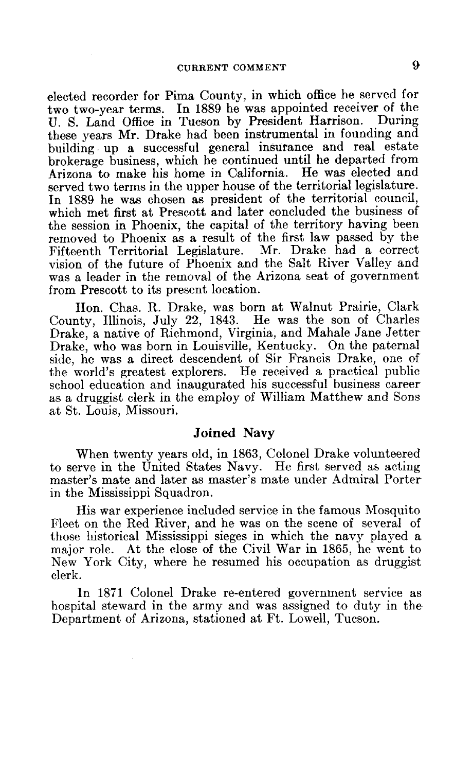elected recorder for Pima County, in which office he served for two two-year terms. In 1889 he was appointed receiver of the ILST Land Office in Tucson by President Harrison. During U. S. Land Office in Tucson by President Harrison. these years Mr. Drake had been instrumental in founding and building up a successful general insurance and real estate brokerage business, which he continued until he departed from Arizona to make his home in California. He was elected and served two terms in the upper house of the territorial legislature. In 1889 he was chosen as president of the territorial council, which met first at Prescott and later concluded the business of the session in Phoenix, the capital of the territory having been removed to Phoenix as a result of the first law passed by the Fifteenth Territorial Legislature. Mr. Drake had a correct vision of the future of Phoenix and the Salt River Valley and was a leader in the removal of the Arizona seat of government from Prescott to its present location.

Hon. Chas. R. Drake, was born at Walnut Prairie, Clark County, Illinois, July 22, 1843. He was the son of Charles Drake, a native of Richmond, Virginia, and Mahale Jane Jetter Drake, who was born in Louisville, Kentucky. On the paternal side, he was a direct descendent of Sir Francis Drake, one of the world's greatest explorers. He received a practical public school education and inaugurated his successful business career as a druggist clerk in the employ of William Matthew and Sons at St. Louis, Missouri.

#### Joined Navy

When twenty years old, in 1863, Colonel Drake volunteered to serve in the United States Navy. He first served as acting master's mate and later as master's mate under Admiral Porter in the Mississippi Squadron.

His war experience included service in the famous Mosquito Fleet on the Red River, and he was on the scene of several of those historical Mississippi sieges in which the navy played a major role. At the close of the Civil War in 1865, he went to New York City, where he resumed his occupation as druggist clerk.

In 1871 Colonel Drake re-entered government service as hospital steward in the army and was assigned to duty in the Department of Arizona, stationed at Ft. Lowell, Tucson.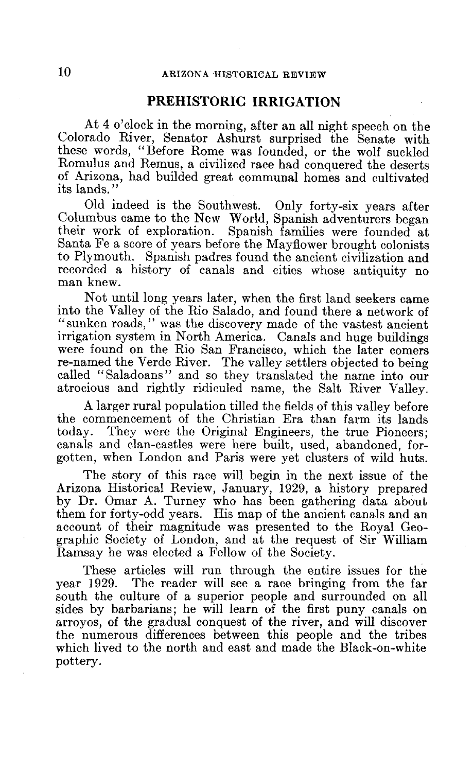# **PREHISTORIC IRRIGATION**

At 4 o'clock in the morning, after an all night speech on the Colorado River, Senator Ashurst surprised the Senate with these words, "Before Rome was founded, or the wolf suckled Romulus and Remus, a civilized race had conquered the deserts of Arizona, had builded great communal homes and cultivated its lands."

Old indeed is the Southwest. Only forty-six years after Columbus came to the New World, Spanish adventurers began their work of exploration. Spanish families were founded at Santa Fe a score of years before the Mayflower brought colonists to Plymouth. Spanish padres found the ancient civilization and recorded a history of canals and cities whose antiquity no man knew.

Not until long years later, when the first land seekers came into the Valley of the Rio Salado, and found there a network of "sunken roads," was the discovery made of the vastest ancient irrigation system in North America. Canals and huge buildings were found on the Rio San Francisco, which the later comers re-named the Verde River. The valley settlers objected to being called "Saladoans" and so they translated the name into our atrocious and rightly ridiculed name, the Salt River Valley.

A larger rural population tilled the fields of this valley before the commencement of the Christian Era than farm its lands today. They were the Original Engineers, the true Pioneers; canals and clan-castles were here built, used, abandoned, forgotten, when London and Paris were yet clusters of wild huts.

The story of this race will begin in the next issue of the Arizona Historical Review, January, 1929, a history prepared by Dr. Omar A. Turney who has been gathering data about them for forty-odd years. His map of the ancient canals and an account of their magnitude was presented to the Royal Geographic Society of London, and at the request of Sir William Ramsay he was elected a Fellow of the Society.

These articles will run through the entire issues for the vear 1929. The reader will see a race bringing from the far The reader will see a race bringing from the far south the culture of a superior people and surrounded on all sides by barbarians; he will learn of the first puny canals on arroyos, of the gradual conquest of the river, and will discover the numerous differences between this people and the tribes which lived to the north and east and made the Black-on-white pottery.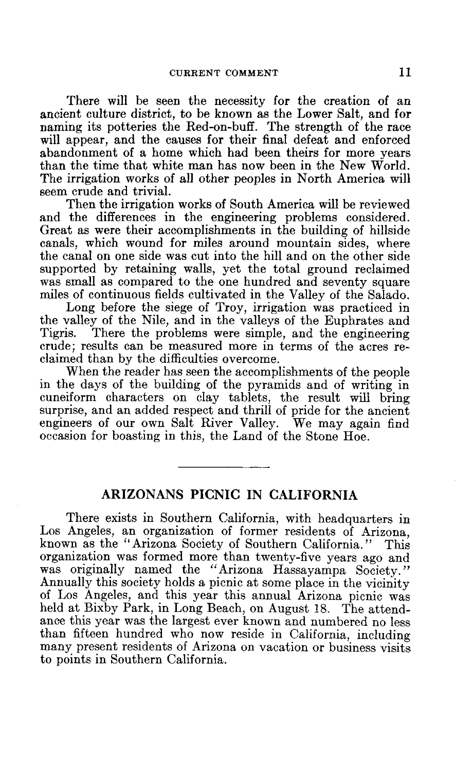There will be seen the necessity for the creation of an ancient culture district, to be known as the Lower Salt, and for naming its potteries the Red-on-buff. The strength of the race will appear, and the causes for their final defeat and enforced abandonment of a home which had been theirs for more years than the time that white man has now been in the New World. The irrigation works of all other peoples in North America will seem crude and trivial.

Then the irrigation works of South America will be reviewed and the differences in the engineering problems considered. Great as were their accomplishments in the building of hillside canals, which wound for miles around mountain sides, where the canal on one side was cut into the hill and on the other side supported by retaining walls, yet the total ground reclaimed was small as compared to the one hundred and seventy square miles of continuous fields cultivated in the Valley of the Salado.

Long before the siege of Troy, irrigation was practiced in the valley of the Nile, and in the valleys of the Euphrates and Tigris. There the problems were simple, and the engineering There the problems were simple, and the engineering crude; results can be measured more in terms of the acres reclaimed than by the difficulties overcome.

When the reader has seen the accomplishments of the people in the days of the building of the pyramids and of writing in cuneiform characters on clay tablets, the result will bring surprise, and an added respect and thrill of pride for the ancient engineers of our own Salt River Valley. We may again find occasion for boasting in this, the Land of the Stone Hoe.

# **ARIZONANS PICNIC IN CALIFORNIA**

There exists in Southern California, with headquarters in Los Angeles, an organization of former residents of Arizona, known as the "Arizona Society of Southern California." This known as the "Arizona Society of Southern California." organization was formed more than twenty-five years ago and was originally named the "Arizona Hassayampa Society." Annually this society holds a picnic at some place in the vicinity of Los Angeles, and this year this annual Arizona picnic was held at Bixby Park, in Long Beach, on August 18. The attendance this year was the largest ever known and numbered no less than fifteen hundred who now reside in California, including many present residents of Arizona on vacation or business visits to points in Southern California.